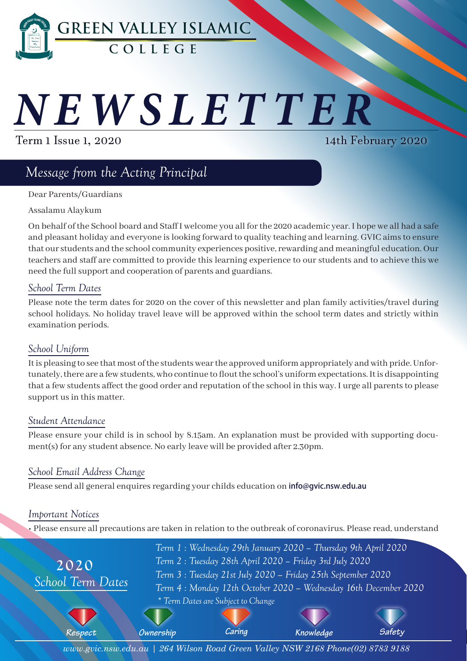

# *NEWSLETTER*

Term 1 Issue 1, 2020

14th February 2020

# *Message from the Acting Principal*

Dear Parents/Guardians

Assalamu Alaykum

On behalf of the School board and Staff I welcome you all for the 2020 academic year. I hope we all had a safe and pleasant holiday and everyone is looking forward to quality teaching and learning. GVIC aims to ensure that our students and the school community experiences positive, rewarding and meaningful education. Our teachers and staff are committed to provide this learning experience to our students and to achieve this we need the full support and cooperation of parents and guardians.

# *School Term Dates*

Please note the term dates for 2020 on the cover of this newsletter and plan family activities/travel during school holidays. No holiday travel leave will be approved within the school term dates and strictly within examination periods.

# *School Uniform*

It is pleasing to see that most of the students wear the approved uniform appropriately and with pride. Unfortunately, there are a few students, who continue to flout the school's uniform expectations. It is disappointing that a few students affect the good order and reputation of the school in this way. I urge all parents to please support us in this matter.

# *Student Attendance*

Please ensure your child is in school by 8.15am. An explanation must be provided with supporting document(s) for any student absence. No early leave will be provided after 2.30pm.

# *School Email Address Change*

Please send all general enquires regarding your childs education on **info@qvic.nsw.edu.au** 

# *Important Notices*

• Please ensure all precautions are taken in relation to the outbreak of coronavirus. Please read, understand



*www.gvic.nsw.edu.au | 264 Wilson Road Green Valley NSW 2168 Phone(02) 8783 9188*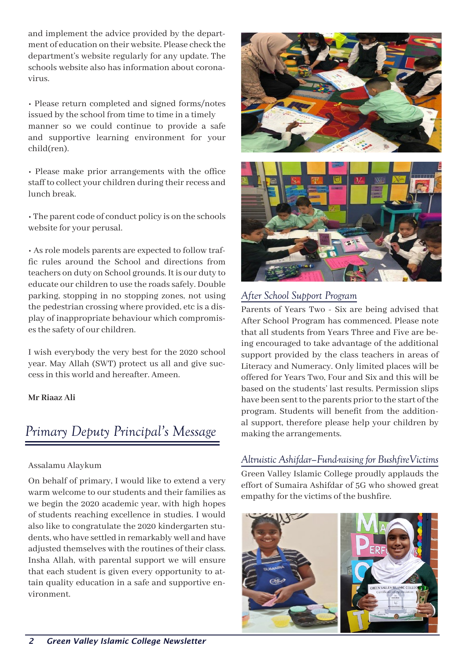and implement the advice provided by the department of education on their website. Please check the department's website regularly for any update. The schools website also has information about coronavirus.

• Please return completed and signed forms/notes issued by the school from time to time in a timely manner so we could continue to provide a safe and supportive learning environment for your child(ren).

• Please make prior arrangements with the office staff to collect your children during their recess and lunch break.

• The parent code of conduct policy is on the schools website for your perusal.

• As role models parents are expected to follow traffic rules around the School and directions from teachers on duty on School grounds. It is our duty to educate our children to use the roads safely. Double parking, stopping in no stopping zones, not using the pedestrian crossing where provided, etc is a display of inappropriate behaviour which compromises the safety of our children.

I wish everybody the very best for the 2020 school year. May Allah (SWT) protect us all and give success in this world and hereafter. Ameen.

#### **Mr Riaaz Ali**

# *Primary Deputy Principal's Message*

#### Assalamu Alaykum

On behalf of primary, I would like to extend a very warm welcome to our students and their families as we begin the 2020 academic year, with high hopes of students reaching excellence in studies. I would also like to congratulate the 2020 kindergarten students, who have settled in remarkably well and have adjusted themselves with the routines of their class. Insha Allah, with parental support we will ensure that each student is given every opportunity to attain quality education in a safe and supportive environment.





# *After School Support Program*

Parents of Years Two - Six are being advised that After School Program has commenced. Please note that all students from Years Three and Five are being encouraged to take advantage of the additional support provided by the class teachers in areas of Literacy and Numeracy. Only limited places will be offered for Years Two, Four and Six and this will be based on the students' last results. Permission slips have been sent to the parents prior to the start of the program. Students will benefit from the additional support, therefore please help your children by making the arrangements.

# *Altruistic Ashifdar–Fund-raising for BushfireVictims*

Green Valley Islamic College proudly applauds the effort of Sumaira Ashifdar of 5G who showed great empathy for the victims of the bushfire.

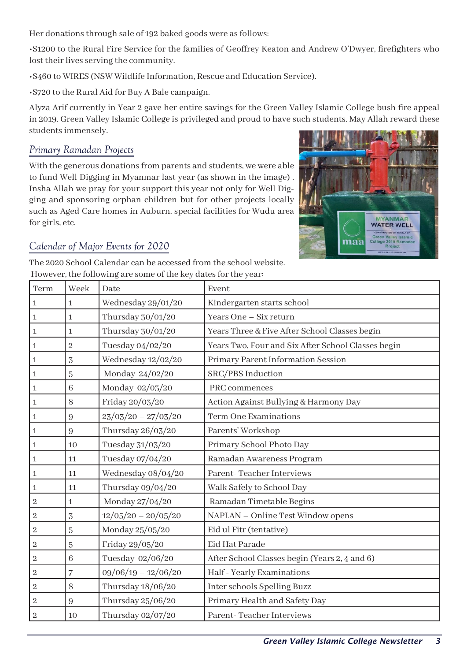Her donations through sale of 192 baked goods were as follows:

•\$1200 to the Rural Fire Service for the families of Geoffrey Keaton and Andrew O'Dwyer, firefighters who lost their lives serving the community.

•\$460 to WIRES (NSW Wildlife Information, Rescue and Education Service).

•\$720 to the Rural Aid for Buy A Bale campaign.

Alyza Arif currently in Year 2 gave her entire savings for the Green Valley Islamic College bush fire appeal in 2019. Green Valley Islamic College is privileged and proud to have such students. May Allah reward these students immensely.

# *Primary Ramadan Projects*

With the generous donations from parents and students, we were able to fund Well Digging in Myanmar last year (as shown in the image) . Insha Allah we pray for your support this year not only for Well Digging and sponsoring orphan children but for other projects locally such as Aged Care homes in Auburn, special facilities for Wudu area for girls, etc.



# *Calendar of Major Events for 2020*

The 2020 School Calendar can be accessed from the school website. However, the following are some of the key dates for the year:

| Term             | Week             | Date                  | Event                                              |
|------------------|------------------|-----------------------|----------------------------------------------------|
| $\mathbf 1$      | $\mathbf{1}$     | Wednesday 29/01/20    | Kindergarten starts school                         |
| $\mathbf 1$      | 1                | Thursday 30/01/20     | Years One - Six return                             |
| $\mathbf 1$      | $\mathbf{1}$     | Thursday 30/01/20     | Years Three & Five After School Classes begin      |
| $\mathbf{1}$     | $\overline{2}$   | Tuesday 04/02/20      | Years Two, Four and Six After School Classes begin |
| $\mathbf{1}$     | $\overline{3}$   | Wednesday 12/02/20    | Primary Parent Information Session                 |
| $\mathbf{1}$     | $\overline{5}$   | Monday 24/02/20       | SRC/PBS Induction                                  |
| $\mathbf{1}$     | 6                | Monday 02/03/20       | PRC commences                                      |
| $\mathbf 1$      | 8                | Friday 20/03/20       | Action Against Bullying & Harmony Day              |
| $\mathbf{1}$     | $\boldsymbol{9}$ | $23/03/20 - 27/03/20$ | <b>Term One Examinations</b>                       |
| $\mathbf 1$      | 9                | Thursday 26/03/20     | Parents' Workshop                                  |
| $\mathbf{1}$     | 10               | Tuesday 31/03/20      | Primary School Photo Day                           |
| $\mathbf{1}$     | 11               | Tuesday 07/04/20      | Ramadan Awareness Program                          |
| $\mathbf 1$      | 11               | Wednesday 08/04/20    | Parent-Teacher Interviews                          |
| $\mathbf{1}$     | 11               | Thursday 09/04/20     | Walk Safely to School Day                          |
| $\boldsymbol{2}$ | $\mathbf{1}$     | Monday 27/04/20       | Ramadan Timetable Begins                           |
| $\,2$            | 3                | $12/05/20 - 20/05/20$ | NAPLAN - Online Test Window opens                  |
| $\sqrt{2}$       | $\overline{5}$   | Monday 25/05/20       | Eid ul Fitr (tentative)                            |
| $\,2$            | $\overline{5}$   | Friday 29/05/20       | Eid Hat Parade                                     |
| $\,2$            | 6                | Tuesday 02/06/20      | After School Classes begin (Years 2, 4 and 6)      |
| $\overline{c}$   | $\overline{7}$   | $09/06/19 - 12/06/20$ | Half - Yearly Examinations                         |
| $\overline{2}$   | 8                | Thursday 18/06/20     | Inter schools Spelling Buzz                        |
| $\overline{c}$   | $\boldsymbol{9}$ | Thursday 25/06/20     | Primary Health and Safety Day                      |
| $\,2$            | 10               | Thursday 02/07/20     | Parent-Teacher Interviews                          |